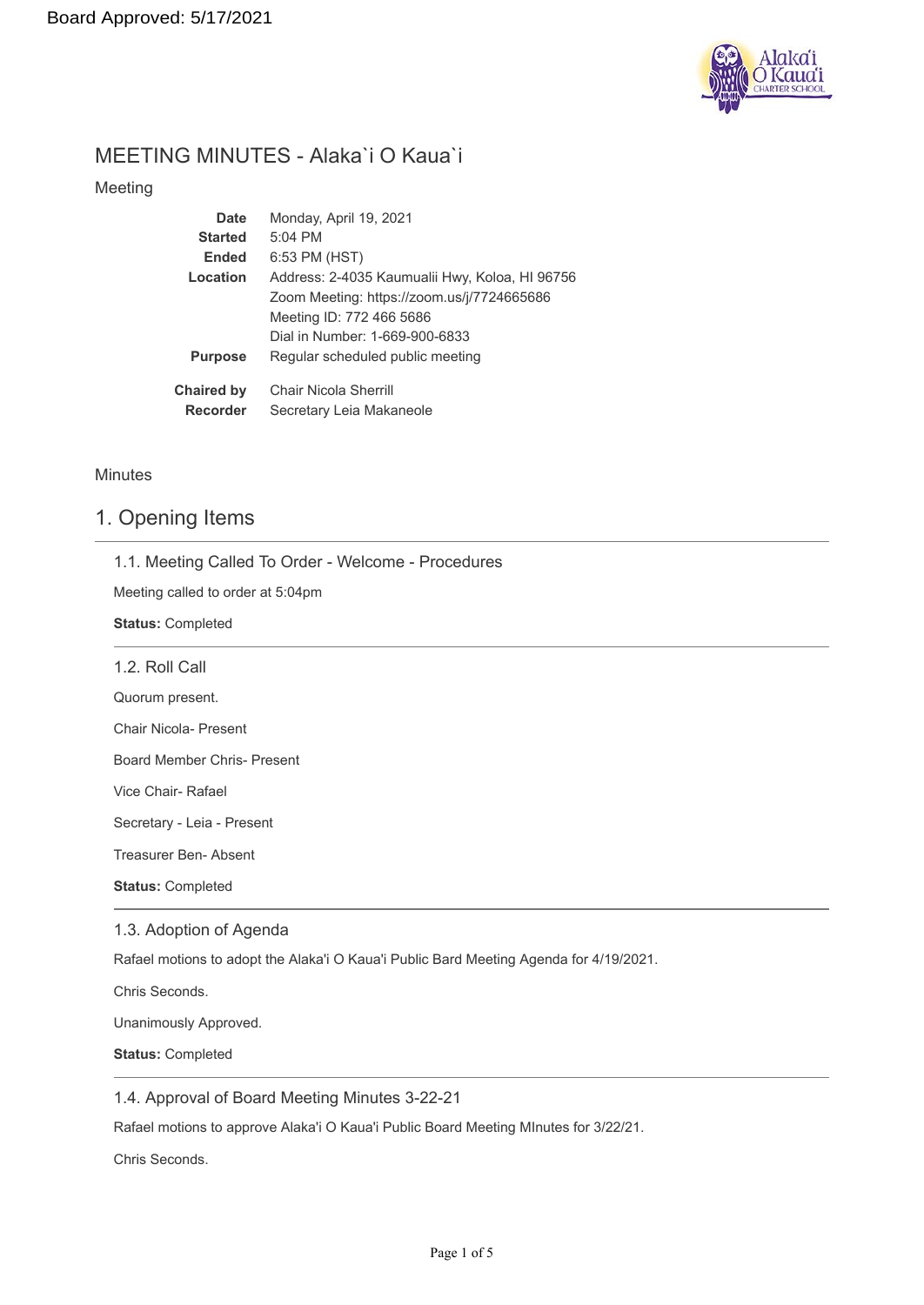

# MEETING MINUTES - Alaka`i O Kaua`i

### Meeting

| Date              | Monday, April 19, 2021                         |
|-------------------|------------------------------------------------|
| <b>Started</b>    | $5:04$ PM                                      |
| <b>Ended</b>      | 6:53 PM (HST)                                  |
| Location          | Address: 2-4035 Kaumualii Hwy, Koloa, HI 96756 |
|                   | Zoom Meeting: https://zoom.us/j/7724665686     |
|                   | Meeting ID: 772 466 5686                       |
|                   | Dial in Number: 1-669-900-6833                 |
| <b>Purpose</b>    | Regular scheduled public meeting               |
| <b>Chaired by</b> | Chair Nicola Sherrill                          |
| <b>Recorder</b>   | Secretary Leia Makaneole                       |

### **Minutes**

### 1. Opening Items

|  |  |  |  |  |  | 1.1. Meeting Called To Order - Welcome - Procedures |
|--|--|--|--|--|--|-----------------------------------------------------|
|--|--|--|--|--|--|-----------------------------------------------------|

Meeting called to order at 5:04pm

**Status:** Completed

| 1.2. Roll Call               |
|------------------------------|
| Quorum present.              |
| <b>Chair Nicola- Present</b> |
| Board Member Chris- Present  |
| Vice Chair- Rafael           |
| Secretary - Leia - Present   |
| Treasurer Ben- Absent        |
| <b>Status: Completed</b>     |
| 1.3. Adoption of Agenda      |

Rafael motions to adopt the Alaka'i O Kaua'i Public Bard Meeting Agenda for 4/19/2021.

Chris Seconds.

Unanimously Approved.

**Status:** Completed

1.4. Approval of Board Meeting Minutes 3-22-21

Rafael motions to approve Alaka'i O Kaua'i Public Board Meeting MInutes for 3/22/21.

Chris Seconds.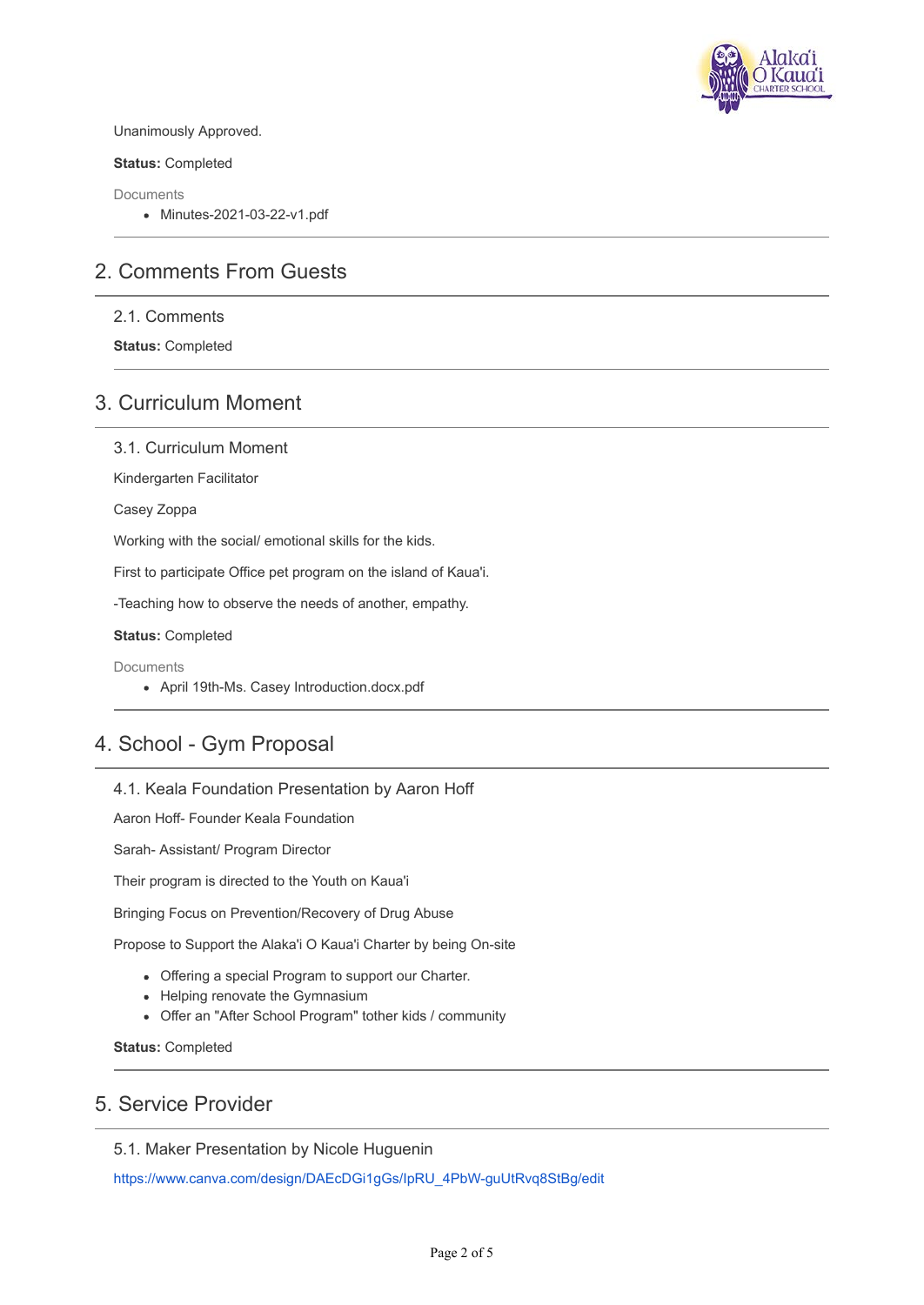

### Unanimously Approved.

**Status:** Completed

Documents

Minutes-2021-03-22-v1.pdf

# 2. Comments From Guests

2.1. Comments

**Status:** Completed

# 3. Curriculum Moment

3.1. Curriculum Moment

Kindergarten Facilitator

Casey Zoppa

Working with the social/ emotional skills for the kids.

First to participate Office pet program on the island of Kaua'i.

-Teaching how to observe the needs of another, empathy.

**Status:** Completed

**Documents** 

April 19th-Ms. Casey Introduction.docx.pdf

# 4. School - Gym Proposal

### 4.1. Keala Foundation Presentation by Aaron Hoff

Aaron Hoff- Founder Keala Foundation

Sarah- Assistant/ Program Director

Their program is directed to the Youth on Kaua'i

Bringing Focus on Prevention/Recovery of Drug Abuse

Propose to Support the Alaka'i O Kaua'i Charter by being On-site

- Offering a special Program to support our Charter.
- Helping renovate the Gymnasium
- Offer an "After School Program" tother kids / community

**Status:** Completed

### 5. Service Provider

5.1. Maker Presentation by Nicole Huguenin

[https://www.canva.com/design/DAEcDGi1gGs/IpRU\\_4PbW-guUtRvq8StBg/edit](https://www.canva.com/design/DAEcDGi1gGs/IpRU_4PbW-guUtRvq8StBg/edit)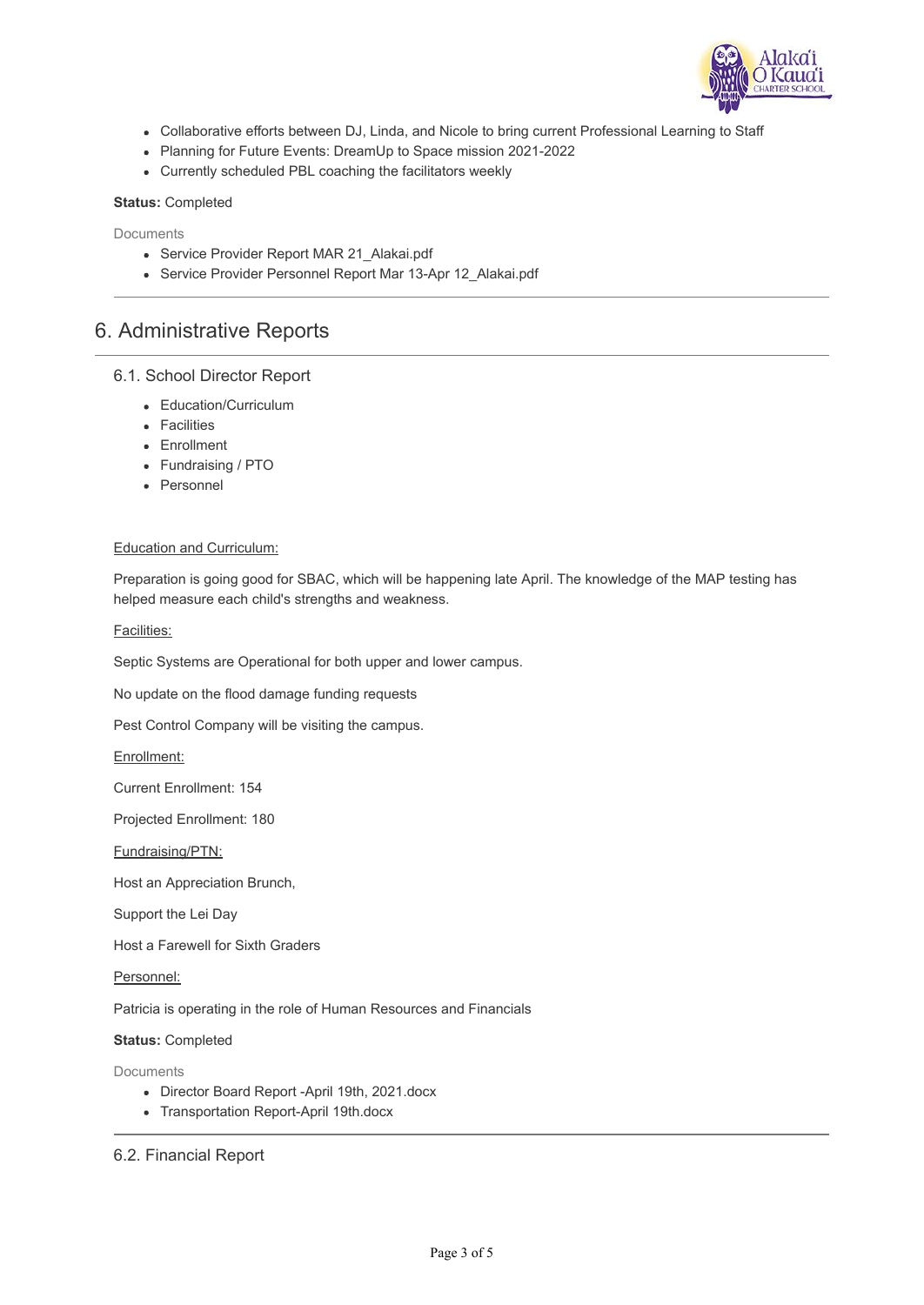

- Collaborative efforts between DJ, Linda, and Nicole to bring current Professional Learning to Staff
- Planning for Future Events: DreamUp to Space mission 2021-2022
- Currently scheduled PBL coaching the facilitators weekly

#### **Status:** Completed

Documents

- Service Provider Report MAR 21 Alakai.pdf
- Service Provider Personnel Report Mar 13-Apr 12 Alakai.pdf

### 6. Administrative Reports

### 6.1. School Director Report

- Education/Curriculum
- **•** Facilities
- Enrollment
- Fundraising / PTO
- Personnel

#### Education and Curriculum:

Preparation is going good for SBAC, which will be happening late April. The knowledge of the MAP testing has helped measure each child's strengths and weakness.

#### Facilities:

Septic Systems are Operational for both upper and lower campus.

No update on the flood damage funding requests

Pest Control Company will be visiting the campus.

Enrollment:

Current Enrollment: 154

Projected Enrollment: 180

Fundraising/PTN:

Host an Appreciation Brunch,

Support the Lei Day

Host a Farewell for Sixth Graders

Personnel:

Patricia is operating in the role of Human Resources and Financials

#### **Status:** Completed

Documents

- Director Board Report -April 19th, 2021.docx
- Transportation Report-April 19th.docx

6.2. Financial Report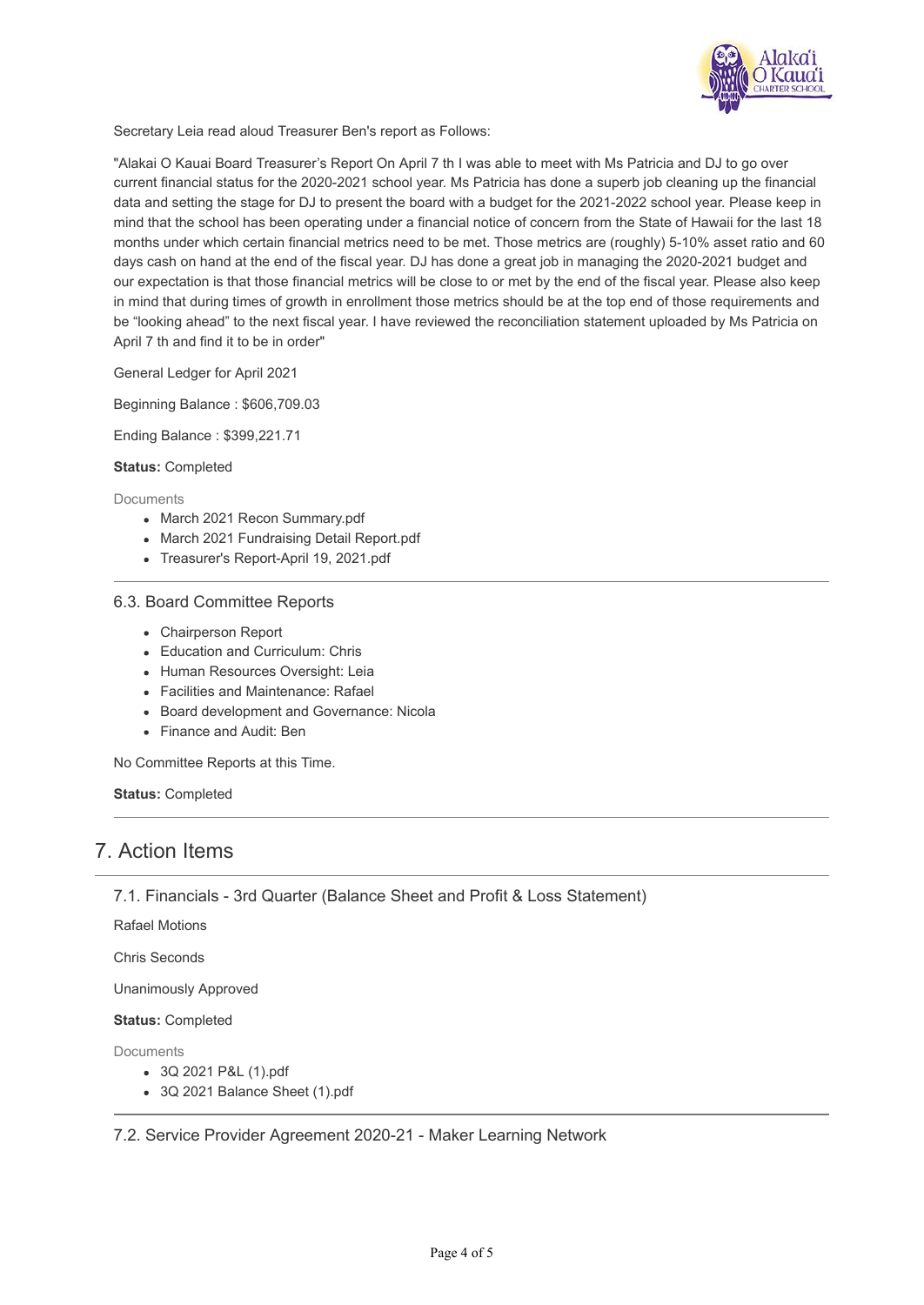

Secretary Leia read aloud Treasurer Ben's report as Follows:

"Alakai O Kauai Board Treasurer's Report On April 7 th I was able to meet with Ms Patricia and DJ to go over current financial status for the 2020-2021 school year. Ms Patricia has done a superb job cleaning up the financial data and setting the stage for DJ to present the board with a budget for the 2021-2022 school year. Please keep in mind that the school has been operating under a financial notice of concern from the State of Hawaii for the last 18 months under which certain financial metrics need to be met. Those metrics are (roughly) 5-10% asset ratio and 60 days cash on hand at the end of the fiscal year. DJ has done a great job in managing the 2020-2021 budget and our expectation is that those financial metrics will be close to or met by the end of the fiscal year. Please also keep in mind that during times of growth in enrollment those metrics should be at the top end of those requirements and be "looking ahead" to the next fiscal year. I have reviewed the reconciliation statement uploaded by Ms Patricia on April 7 th and find it to be in order"

General Ledger for April 2021

Beginning Balance : \$606,709.03

Ending Balance : \$399,221.71

**Status:** Completed

Documents

- March 2021 Recon Summary.pdf
- March 2021 Fundraising Detail Report.pdf
- Treasurer's Report-April 19, 2021.pdf

### 6.3. Board Committee Reports

- Chairperson Report
- Education and Curriculum: Chris
- Human Resources Oversight: Leia
- Facilities and Maintenance: Rafael
- Board development and Governance: Nicola
- Finance and Audit: Ben

No Committee Reports at this Time.

**Status:** Completed

### 7. Action Items

7.1. Financials - 3rd Quarter (Balance Sheet and Profit & Loss Statement)

Rafael Motions

Chris Seconds

Unanimously Approved

**Status:** Completed

Documents

- 3Q 2021 P&L (1).pdf
- 3Q 2021 Balance Sheet (1).pdf

7.2. Service Provider Agreement 2020-21 - Maker Learning Network